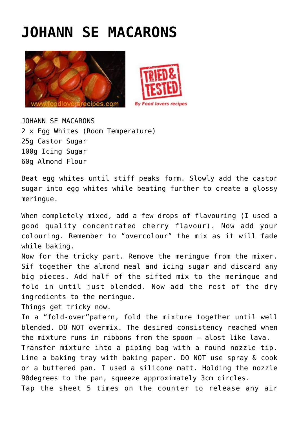## **[JOHANN SE MACARONS](http://www.foodloversrecipes.com/2015/04/johann-se-macaroons/)**





JOHANN SE MACARONS 2 x Egg Whites (Room Temperature) 25g Castor Sugar 100g Icing Sugar 60g Almond Flour

Beat egg whites until stiff peaks form. Slowly add the castor sugar into egg whites while beating further to create a glossy meringue.

When completely mixed, add a few drops of flavouring (I used a good quality concentrated cherry flavour). Now add your colouring. Remember to "overcolour" the mix as it will fade while baking.

Now for the tricky part. Remove the meringue from the mixer. Sif together the almond meal and icing sugar and discard any big pieces. Add half of the sifted mix to the meringue and fold in until just blended. Now add the rest of the dry ingredients to the meringue.

Things get tricky now.

In a "fold-over"patern, fold the mixture together until well blended. DO NOT overmix. The desired consistency reached when the mixture runs in ribbons from the spoon – alost like lava. Transfer mixture into a piping bag with a round nozzle tip. Line a baking tray with baking paper. DO NOT use spray & cook or a buttered pan. I used a silicone matt. Holding the nozzle 90degrees to the pan, squeeze approximately 3cm circles. Tap the sheet 5 times on the counter to release any air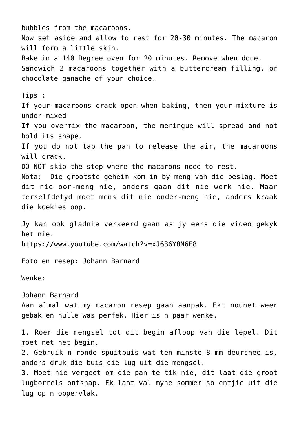bubbles from the macaroons. Now set aside and allow to rest for 20-30 minutes. The macaron will form a little skin. Bake in a 140 Degree oven for 20 minutes. Remove when done. Sandwich 2 macaroons together with a buttercream filling, or chocolate ganache of your choice. Tips : If your macaroons crack open when baking, then your mixture is under-mixed If you overmix the macaroon, the meringue will spread and not hold its shape. If you do not tap the pan to release the air, the macaroons will crack. DO NOT skip the step where the macarons need to rest. Nota: Die grootste geheim kom in by meng van die beslag. Moet dit nie oor-meng nie, anders gaan dit nie werk nie. Maar terselfdetyd moet mens dit nie onder-meng nie, anders kraak die koekies oop. Jy kan ook gladnie verkeerd gaan as jy eers die video gekyk het nie. <https://www.youtube.com/watch?v=xJ636Y8N6E8> Foto en resep: Johann Barnard Wenke: Johann Barnard Aan almal wat my macaron resep gaan aanpak. Ekt nounet weer gebak en hulle was perfek. Hier is n paar wenke. 1. Roer die mengsel tot dit begin afloop van die lepel. Dit moet net net begin. 2. Gebruik n ronde spuitbuis wat ten minste 8 mm deursnee is, anders druk die buis die lug uit die mengsel. 3. Moet nie vergeet om die pan te tik nie, dit laat die groot lugborrels ontsnap. Ek laat val myne sommer so entjie uit die lug op n oppervlak.